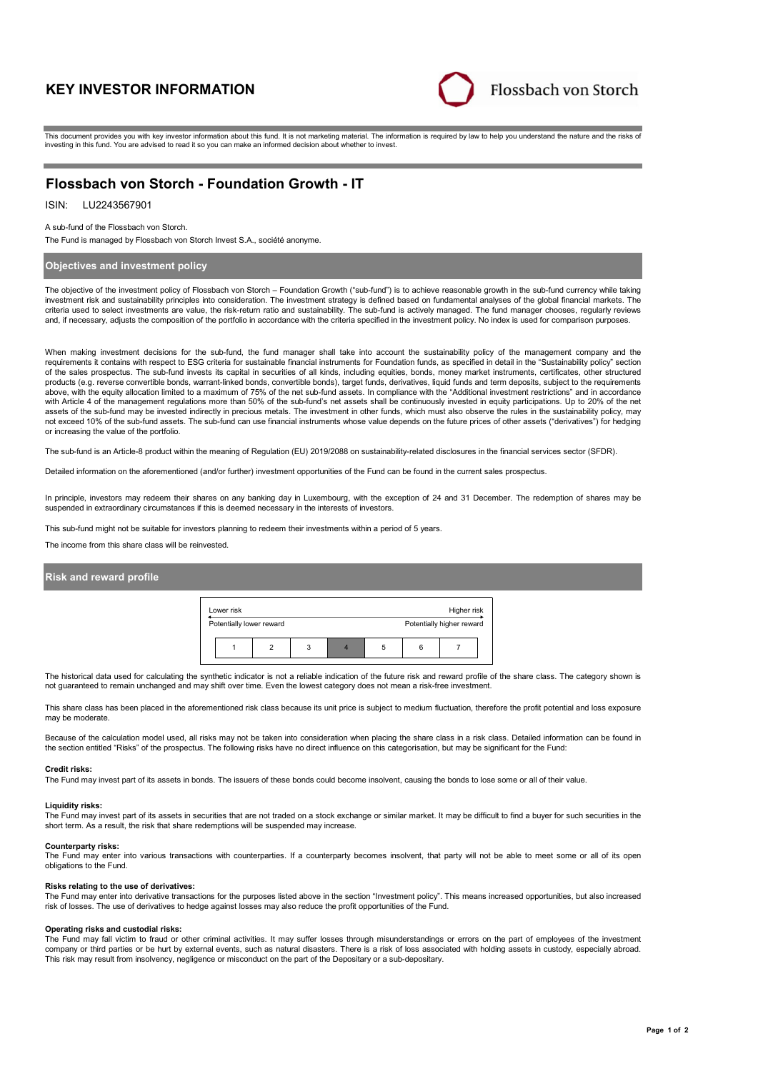# **KEY INVESTOR INFORMATION**



This document provides you with key investor information about this fund. It is not marketing material. The information is required by law to help you understand the nature and the risks of investing in this fund. You are advised to read it so you can make an informed decision about whether to invest.

# **Flossbach von Storch - Foundation Growth - IT**

# ISIN: LU2243567901

### A sub-fund of the Flossbach von Storch.

The Fund is managed by Flossbach von Storch Invest S.A., société anonyme.

### **Objectives and investment policy**

The objective of the investment policy of Flossbach von Storch – Foundation Growth ("sub-fund") is to achieve reasonable growth in the sub-fund currency while taking investment risk and sustainability principles into consideration. The investment strategy is defined based on fundamental analyses of the global financial markets. The criteria used to select investments are value, the risk-return ratio and sustainability. The sub-fund is actively managed. The fund manager chooses, regularly reviews and, if necessary, adjusts the composition of the portfolio in accordance with the criteria specified in the investment policy. No index is used for comparison purposes.

When making investment decisions for the sub-fund, the fund manager shall take into account the sustainability policy of the management company and the requirements it contains with respect to ESG criteria for sustainable financial instruments for Foundation funds, as specified in detail in the "Sustainability policy" section of the sales prospectus. The sub-fund invests its capital in securities of all kinds, including equities, bonds, money market instruments, certificates, other structured products (e.g. reverse convertible bonds, warrant-linked bonds, convertible bonds), target funds, derivatives, liquid funds and term deposits, subject to the requirements above, with the equity allocation limited to a maximum of 75% of the net sub-fund assets. In compliance with the "Additional investment restrictions" and in accordance with Article 4 of the management regulations more than 50% of the sub-fund's net assets shall be continuously invested in equity participations. Up to 20% of the net assets of the sub-fund may be invested indirectly in precious metals. The investment in other funds, which must also observe the rules in the sustainability policy, may not exceed 10% of the sub-fund assets. The sub-fund can use financial instruments whose value depends on the future prices of other assets ("derivatives") for hedging or increasing the value of the portfolio.

The sub-fund is an Article-8 product within the meaning of Regulation (EU) 2019/2088 on sustainability-related disclosures in the financial services sector (SFDR).

Detailed information on the aforementioned (and/or further) investment opportunities of the Fund can be found in the current sales prospectus.

In principle, investors may redeem their shares on any banking day in Luxembourg, with the exception of 24 and 31 December. The redemption of shares may be suspended in extraordinary circumstances if this is deemed necessary in the interests of investors.

This sub-fund might not be suitable for investors planning to redeem their investments within a period of 5 years.

The income from this share class will be reinvested.

### **Risk and reward profile**



The historical data used for calculating the synthetic indicator is not a reliable indication of the future risk and reward profile of the share class. The category shown is not guaranteed to remain unchanged and may shift over time. Even the lowest category does not mean a risk-free investment.

This share class has been placed in the aforementioned risk class because its unit price is subject to medium fluctuation, therefore the profit potential and loss exposure may be moderate

Because of the calculation model used, all risks may not be taken into consideration when placing the share class in a risk class. Detailed information can be found in the section entitled "Risks" of the prospectus. The following risks have no direct influence on this categorisation, but may be significant for the Fund:

#### **Credit risks:**

The Fund may invest part of its assets in bonds. The issuers of these bonds could become insolvent, causing the bonds to lose some or all of their value.

#### **Liquidity risks:**

The Fund may invest part of its assets in securities that are not traded on a stock exchange or similar market. It may be difficult to find a buyer for such securities in the short term. As a result, the risk that share redemptions will be suspended may increase.

#### **Counterparty risks:**

The Fund may enter into various transactions with counterparties. If a counterparty becomes insolvent, that party will not be able to meet some or all of its open obligations to the Fund.

#### **Risks relating to the use of derivatives:**

The Fund may enter into derivative transactions for the purposes listed above in the section "Investment policy". This means increased opportunities, but also increased risk of losses. The use of derivatives to hedge against losses may also reduce the profit opportunities of the Fund.

#### **Operating risks and custodial risks:**

The Fund may fall victim to fraud or other criminal activities. It may suffer losses through misunderstandings or errors on the part of employees of the investment company or third parties or be hurt by external events, such as natural disasters. There is a risk of loss associated with holding assets in custody, especially abroad. This risk may result from insolvency, negligence or misconduct on the part of the Depositary or a sub-depositary.